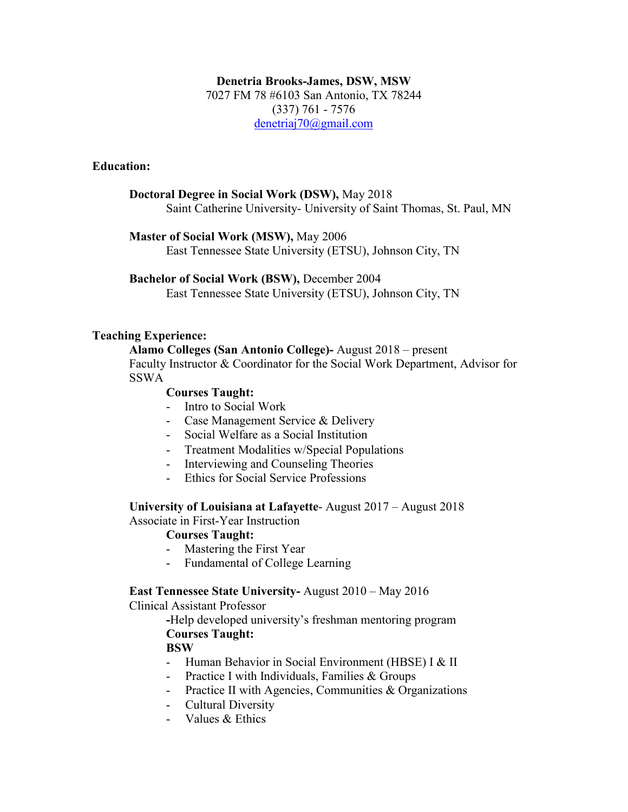## **Denetria Brooks-James, DSW, MSW**

7027 FM 78 #6103 San Antonio, TX 78244 (337) 761 - 7576 [denetriaj70@gmail.com](mailto:denetriaj@yahoo.com)

# **Education:**

**Doctoral Degree in Social Work (DSW),** May 2018 Saint Catherine University- University of Saint Thomas, St. Paul, MN

**Master of Social Work (MSW),** May 2006

East Tennessee State University (ETSU), Johnson City, TN

## **Bachelor of Social Work (BSW),** December 2004

East Tennessee State University (ETSU), Johnson City, TN

# **Teaching Experience:**

**Alamo Colleges (San Antonio College)-** August 2018 – present Faculty Instructor & Coordinator for the Social Work Department, Advisor for SSWA

## **Courses Taught:**

- Intro to Social Work
- Case Management Service & Delivery
- Social Welfare as a Social Institution
- Treatment Modalities w/Special Populations
- Interviewing and Counseling Theories
- Ethics for Social Service Professions

**University of Louisiana at Lafayette**- August 2017 – August 2018

Associate in First-Year Instruction

# **Courses Taught:**

- Mastering the First Year
- Fundamental of College Learning

#### **East Tennessee State University-** August 2010 – May 2016

Clinical Assistant Professor

**-**Help developed university's freshman mentoring program **Courses Taught:**

# **BSW**

- Human Behavior in Social Environment (HBSE) I & II
- Practice I with Individuals, Families & Groups
- Practice II with Agencies, Communities & Organizations
- Cultural Diversity
- Values & Ethics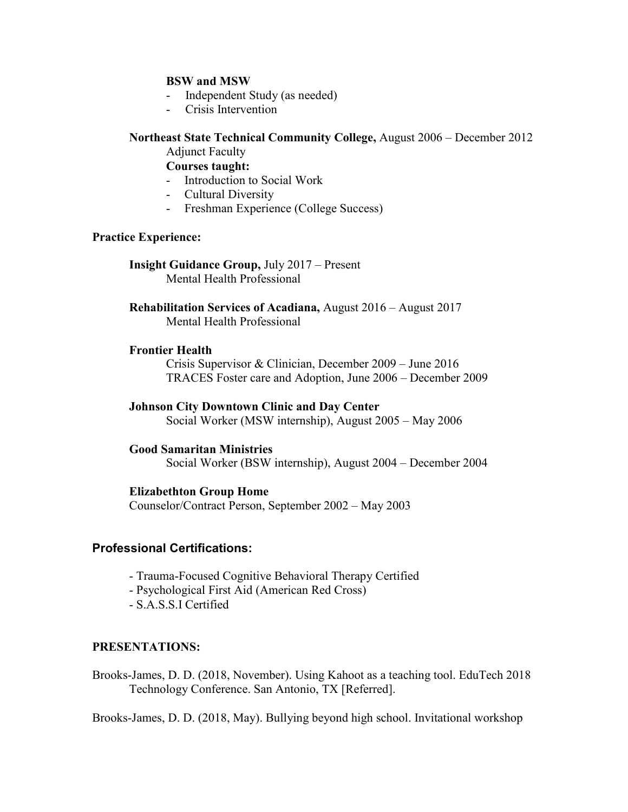## **BSW and MSW**

- Independent Study (as needed)
- Crisis Intervention

# **Northeast State Technical Community College,** August 2006 – December 2012

Adjunct Faculty

**Courses taught:**

- Introduction to Social Work
- Cultural Diversity
- Freshman Experience (College Success)

#### **Practice Experience:**

**Insight Guidance Group,** July 2017 – Present Mental Health Professional

**Rehabilitation Services of Acadiana,** August 2016 – August 2017 Mental Health Professional

#### **Frontier Health**

Crisis Supervisor & Clinician, December 2009 – June 2016 TRACES Foster care and Adoption, June 2006 – December 2009

**Johnson City Downtown Clinic and Day Center** Social Worker (MSW internship), August 2005 – May 2006

**Good Samaritan Ministries** Social Worker (BSW internship), August 2004 – December 2004

#### **Elizabethton Group Home**

Counselor/Contract Person, September 2002 – May 2003

# **Professional Certifications:**

- Trauma-Focused Cognitive Behavioral Therapy Certified
- Psychological First Aid (American Red Cross)
- S.A.S.S.I Certified

#### **PRESENTATIONS:**

Brooks-James, D. D. (2018, November). Using Kahoot as a teaching tool. EduTech 2018 Technology Conference. San Antonio, TX [Referred].

Brooks-James, D. D. (2018, May). Bullying beyond high school. Invitational workshop